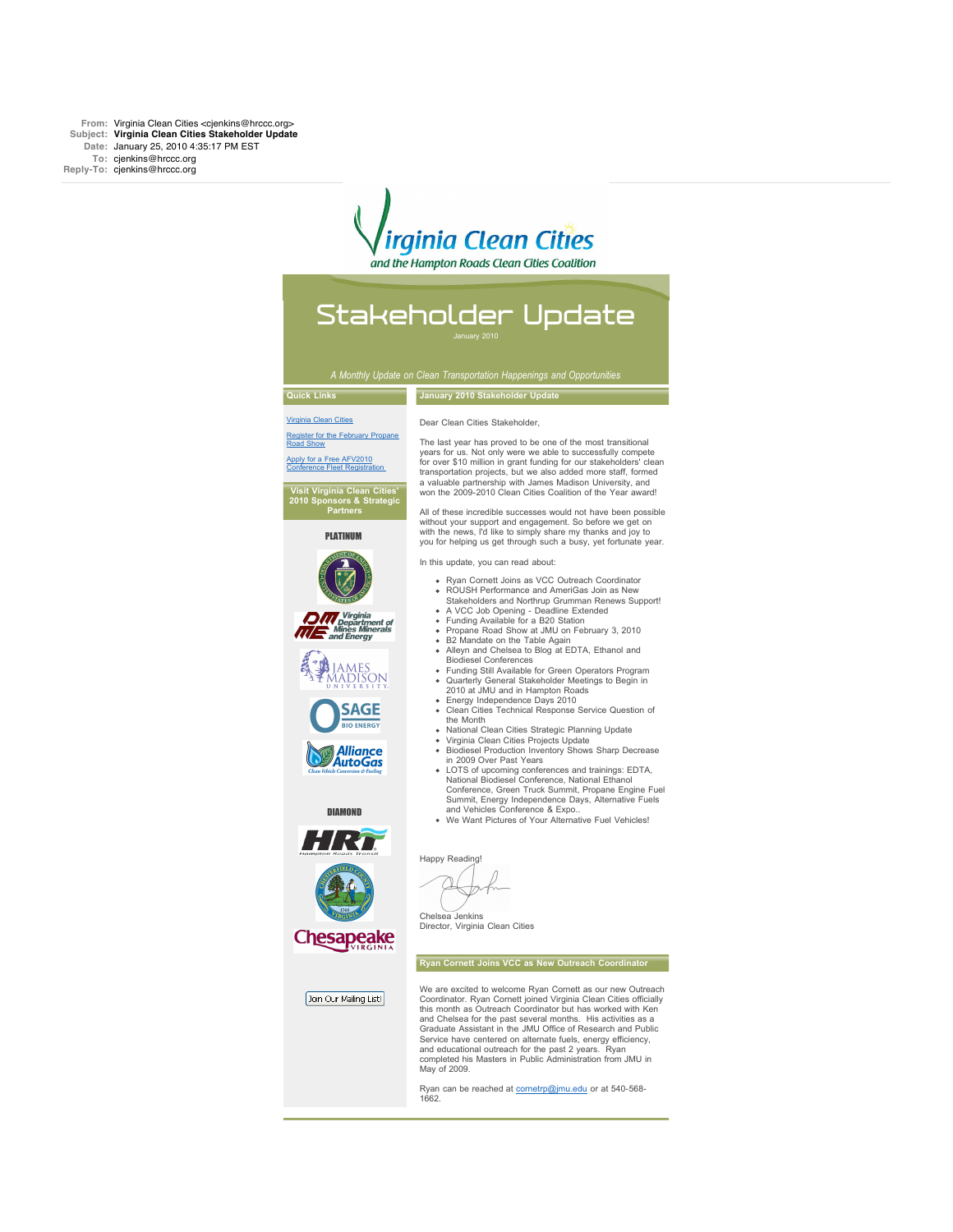From: Virginia Clean Cities <cjenkins@hrccc.org> **Subject: Virginia Clean Cities Stakeholder Update Date:** January 25, 2010 4:35:17 PM EST **To:** cjenkins@hrccc.org **Reply-To:** cjenkins@hrccc.org

# *irainia Clean Cities*

and the Hampton Roads Clean Cities Coalition

# Stakeholder Update

January 2010

## **Quick Links** [Virginia Clean Cities](http://rs6.net/tn.jsp?et=1102958365167&s=3&e=001RnE-OVqBeMG4hUYu7qgAWdu1qFAIo7h1OhL44zoZpK1yjQbmvQpnyYHv9IWtGT4Nj30sfNUjiJuUodZq5d_zh1DXSvL6s0OImAB28E6qx-c=)

Dear Clean Cities Stakeholder,

**January 2010 Stakeholder Update**

gister for the February Propa Road Show oply for a Free AFV2010 [Conference Fleet Registration](http://rs6.net/tn.jsp?et=1102958365167&s=3&e=001RnE-OVqBeMFnxnkbl51DiC__eRnSuNxcjtUmZyBlBg1ZTJDIVt3HnUkeW-yhM8vrlrKA1pw1HCxUqyuPVFX9dniQRERvTD3jpAKIcl_9GTjKh5ef92kS2-4eMkUpMfag) 

**Visit Virginia Clean Cities' 2010 Sponsors & Strategic Partners**

PLATINUM



*Virginia<br>Departm<br>Mines Min<br>nd Energy* 



**SAGE** 

**Alliance**<br>AutoGas





Join Our Mailing List!

Director, Virginia Clean Cities

#### **Ryan Cornett Joins VCC as New Outreach Coordinator**

We are excited to welcome Ryan Cornett as our new Outreach Coordinator. Ryan Cornett joined Virginia Clean Cities officially this month as Outreach Coordinator but has worked with Ken and Chelsea for the past several months. His activities as a Graduate Assistant in the JMU Office of Research and Public Service have centered on alternate fuels, energy efficiency, and educational outreach for the past 2 years. Ryan completed his Masters in Public Administration from JMU in May of 2009.

Ryan can be reached at **cornetrp@jmu.edu** or at 540-568-1662.

The last year has proved to be one of the most transitional years for us. Not only were we able to successfully compete for over \$10 million in grant funding for our stakeholders' clean transportation projects, but we also added more staff, formed a valuable partnership with James Madison University, and won the 2009-2010 Clean Cities Coalition of the Year award!

All of these incredible successes would not have been possible without your support and engagement. So before we get on with the news, I'd like to simply share my thanks and joy to you for helping us get through such a busy, yet fortunate year.

In this update, you can read about:

- Ryan Cornett Joins as VCC Outreach Coordinator
- ROUSH Performance and AmeriGas Join as New
- Stakeholders and Northrup Grumman Renews Support! A VCC Job Opening Deadline Extended Funding Available for a B20 Station  $\sim$
- 
- Propane Road Show at JMU on February 3, 2010
- B2 Mandate on the Table Again Alleyn and Chelsea to Blog at EDTA, Ethanol and
- Biodiesel Conferences Funding Still Available for Green Operators Program Quarterly General Stakeholder Meetings to Begin in 2010 at JMU and in Hampton Roads
- 
- $\mathbf{r}$ Energy Independence Days 2010 Clean Cities Technical Response Service Question of
- the Month
- National Clean Cities Strategic Planning Update Virginia Clean Cities Projects Update
- Biodiesel Production Inventory Shows Sharp Decrease in 2009 Over Past Years
- LOTS of upcoming conferences and trainings: EDTA,<br>National Biodiesel Conference, National Ethanol<br>Conference, Green Truck Summit, Propane Engine Fuel<br>Summit, Energy Independence Days, Alternative Fuels<br>and Vehicles Confere
- 

Happy Reading!

Chelsea Jenkins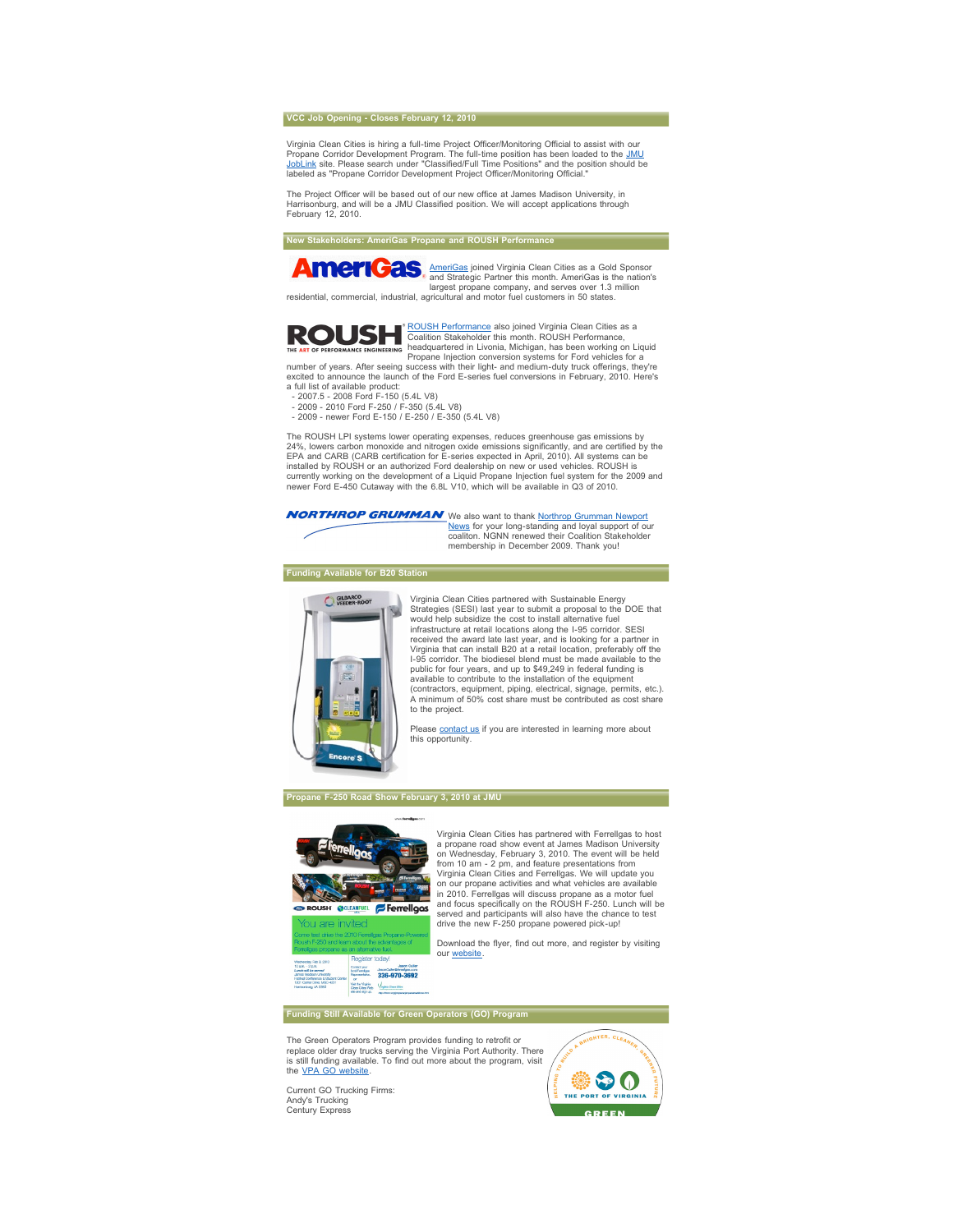#### **VCC Job Opening - Closes February 12, 2010**

Virginia Clean Cities is hiring a full-time Project Officer/Monitoring Official to assist with our Propane Corridor Development Program. The full-time position has been loaded to the <u>JMU</u><br><u>JobLink</u> site. Please search under "Classified/Full Time Positions" and the position should be labeled as "Propane Corridor Development Project Officer/Monitoring Official.

The Project Officer will be based out of our new office at James Madison University, in Harrisonburg, and will be a JMU Classified position. We will accept applications through February 12, 2010.

**New Stakeholders: AmeriGas Propane and ROUSH Performance**

**Antion** AmeriCas joined Virginia Clean Cities as a Gold Sponsor<br>and Strategic Partner this month. AmeriCas is the nation's<br>largest propane company, and serves over 1.3 million<br>residential, commercial, industrial, agricult



<u>ROUSH Performance</u> also joined Virginia Clean Cities as a<br>Coalition Stakeholder this month. ROUSH Performance,<br>headquartered in Livonia, Michigan, has been working on Liquid

Propane Injection conversion systems for Ford vehicles for a number of years. After seeing success with their light- and medium-duty truck offerings, they're excited to announce the launch of the Ford E-series fuel conversions in February, 2010. Here's a full list of available product:

- 2007.5 - 2008 Ford F-150 (5.4L V8) - 2009 - 2010 Ford F-250 / F-350 (5.4L V8)

- 2009 - newer Ford E-150 / E-250 / E-350 (5.4L V8)

The ROUSH LPI systems lower operating expenses, reduces greenhouse gas emissions by 24%, lowers carbon monoxide and nitrogen oxide emissions significantly, and are certified by the EPA and CARB (CARB certification for E-series expected in April, 2010). All systems can be installed by ROUSH or an authorized Ford dealership on new or used vehicles. ROUSH is currently working on the development of a Liquid Propane Injection fuel system for the 2009 and newer Ford E-450 Cutaway with the 6.8L V10, which will be available in Q3 of 2010.

We also want to thank <u>[Northrop Grumman Newport](http://rs6.net/tn.jsp?et=1102958365167&s=3&e=001RnE-OVqBeMGHUVBzkr9hxSO50JIlqTcgJa2fXxAaUERp3BasIItortf88_C8Jl_a-EMBqEaqdxNfneliYqCm7dQsubUgwVwws65KpRbEsrkZurzNu-xedaPxoKheZgo5A7r9m67UjzysN5NEnjUS9CYZ8iAHZQnJ)</u><br><u>[News](http://rs6.net/tn.jsp?et=1102958365167&s=3&e=001RnE-OVqBeMGHUVBzkr9hxSO50JIlqTcgJa2fXxAaUERp3BasIItortf88_C8Jl_a-EMBqEaqdxNfneliYqCm7dQsubUgwVwws65KpRbEsrkZurzNu-xedaPxoKheZgo5A7r9m67UjzysN5NEnjUS9CYZ8iAHZQnJ)</u> for your long-standing and loyal support of our<br>coaliton. NGNN renewed their Coalition Stakeholder membership in December 2009. Thank you!

### **Funding Available for B20 Station**



Virginia Clean Cities partnered with Sustainable Energy Strategies (SESI) last year to submit a proposal to the DOE that would help subsidize the cost to install alternative fuel infrastructure at retail locations along the I-95 corridor. SESI received the award late last year, and is looking for a partner in Virginia that can install B20 at a retail location, preferably off the I-95 corridor. The biodiesel blend must be made available to the public for four years, and up to \$49,249 in federal funding is available to contribute to the installation of the equipment (contractors, equipment, piping, electrical, signage, permits, etc.). A minimum of 50% cost share must be contributed as cost share to the project.

Please **[contact us](mailto:info@hrccc.org)** if you are interested in learning more about this opportunity.

## **Propane F-250 Road Show February 3, 2010 at JMU**



**Peaister today!** 

Virginia Clean Cities has partnered with Ferrellgas to host a propane road show event at James Madison University on Wednesday, February 3, 2010. The event will be held from 10 am - 2 pm, and feature presentations from Virginia Clean Cities and Ferrellgas. We will update you on our propane activities and what vehicles are available in 2010. Ferrellgas will discuss propane as a motor fuel and focus specifically on the ROUSH F-250. Lunch will be served and participants will also have the chance to test drive the new F-250 propane powered pick-up!

Download the flyer, find out more, and register by visiting our website

**Funding Still Available for Green Operators (GO) Program**

The Green Operators Program provides funding to retrofit or<br>replace older dray trucks serving the Virginia Port Authority. There<br>is still funding available. To find out more about the program, visit the [VPA GO website](http://rs6.net/tn.jsp?et=1102958365167&s=3&e=001RnE-OVqBeMHsxGUAOp3L3pY96nHJ9qftc3UPPBpfftNYjRJWk3S8jXV5hI6c7Noz0SNOEH90MEgn00FJsZ4t4R9lUVsPip1UvClF9tuYBm1x5DSByP6xC8GFQXtzE5PeKlDqVDWXFPzaQJ1855I53TFsErNEQo1sqvj1HFJ6Ak4=).

Current GO Trucking Firms: Andy's Trucking Century Express

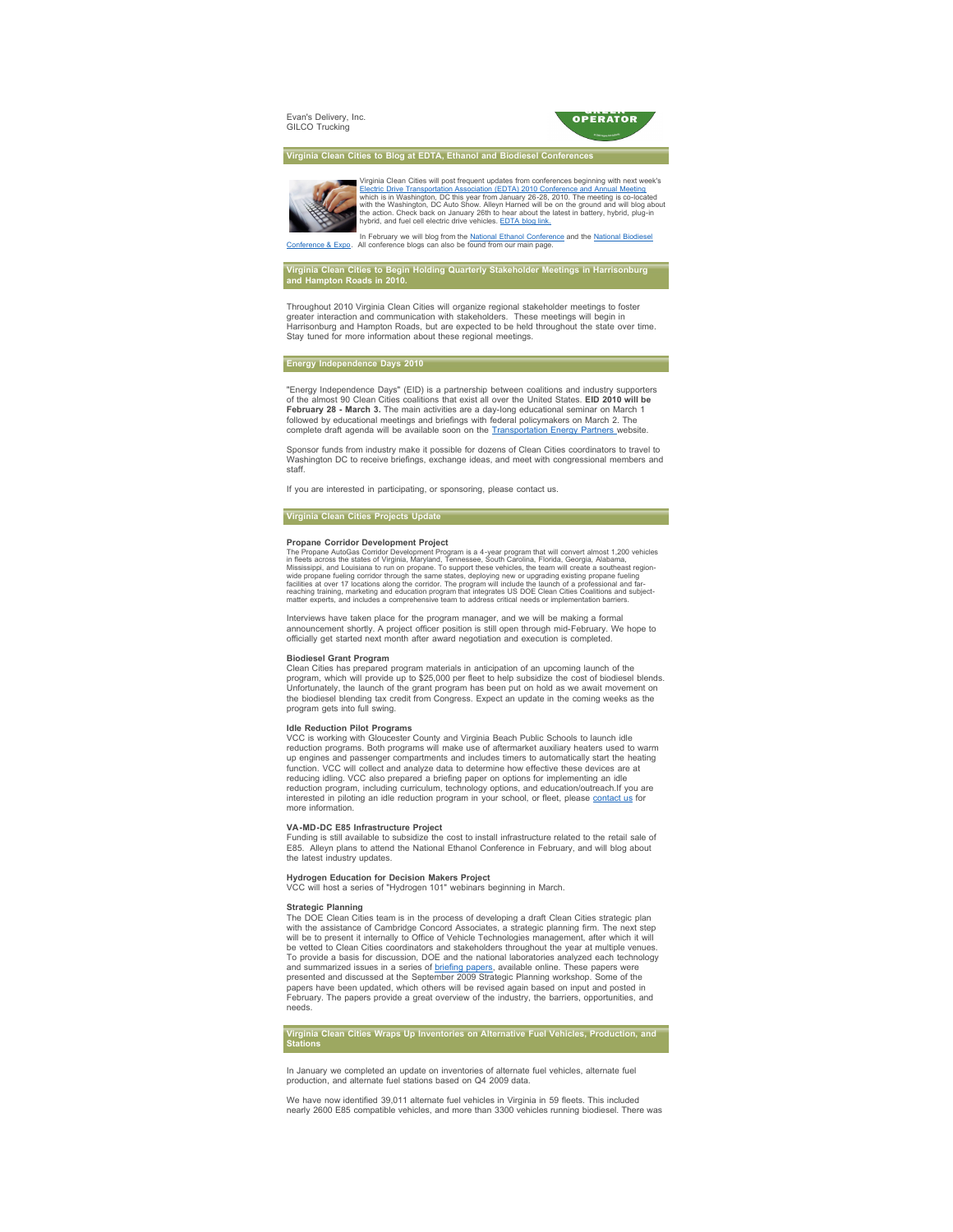Evan's Delivery, Inc. GILCO Trucking



**Virginia Clean Cities to Blog at EDTA, Ethanol and Biodiesel Conference** 

Virginia Clean Cities will post frequent updates from conferences beginning with next week's<br>[Electric Drive Transportation Association \(EDTA\) 2010 Conference and Annual Meeting](http://rs6.net/tn.jsp?et=1102958365167&s=3&e=001RnE-OVqBeMEjybPGqPoPvVZGV26mmgWlCTf1RyHo4XiM7I2pRIcBXIwUI67PfLdl07p9LwodYhJDYYI-jpDe8C65BjFvHqId0WahipoaM7gdiHVlM8y-TYo6tEjZZBA1M5bM8ghHRl_qeU7w6W9efSmDOdt9a3GUQmdGB2amwIdgByx74oGIzw==)<br>which is in Washington, DC this year from Jan

[In February we will blog from the](http://rs6.net/tn.jsp?et=1102958365167&s=3&e=001RnE-OVqBeMFQWBGDximyF_Yl6kb0scYol-BOT2bnWzkkpWJQetcQpqUqfWxzUrDj3KYD2i2KBJ7XRH_VlAS8ZDbGBfdb6aSc8uG3wIMIFxMr1J9MsZLcq9Jj_LZ9qk3KqEmBZb0LMV9jaxTzfDpvCA==) [National Ethanol Conference](http://rs6.net/tn.jsp?et=1102958365167&s=3&e=001RnE-OVqBeMGsWQ8tjNSAx7VeXmXrUOSmCWzqTn_5apxvG5y4UyVZpPZFwfIyk-6voWPMmDdo-q8wVfIQ5tdSqzYnbQvCv-YEf3vV5TQj10lFRqG_3rNzq6ysLohYw7adtNxyJVOc0Lc=) [and the National Biodiesel](http://rs6.net/tn.jsp?et=1102958365167&s=3&e=001RnE-OVqBeMFQWBGDximyF_Yl6kb0scYol-BOT2bnWzkkpWJQetcQpqUqfWxzUrDj3KYD2i2KBJ7XRH_VlAS8ZDbGBfdb6aSc8uG3wIMIFxMr1J9MsZLcq9Jj_LZ9qk3KqEmBZb0LMV9jaxTzfDpvCA==)<br>Conference & Expo. All conference blogs can also be found from our main page.

## **Virginia Clean Cities to Begin Holding Quarterly Stakeholder Meetings in Harrisonburg and Hampton Roads in 2010.**

 Throughout 2010 Virginia Clean Cities will organize regional stakeholder meetings to foster greater interaction and communication with stakeholders. These meetings will begin in Harrisonburg and Hampton Roads, but are expected to be held throughout the state over time. Stay tuned for more information about these regional meetings.

#### **Energy Independence Days 2010**

 "Energy Independence Days" (EID) is a partnership between coalitions and industry supporters of the almost 90 Clean Cities coalitions that exist all over the United States. **EID 2010 will be February 28 - March 3.** The main activities are a day-long educational seminar on March 1 followed by educational meetings and briefings with federal policymakers on March 2. The complete draft agenda will be available soon on the **Transportation Energy Partners** website

Sponsor funds from industry make it possible for dozens of Clean Cities coordinators to travel to Washington DC to receive briefings, exchange ideas, and meet with congressional members and staff.

If you are interested in participating, or sponsoring, please contact us.

### **Virginia Clean Cities Projects Update**

## **Propane Corridor Development Project**

The Propane AutoGas Corridor Development Program is a 4-year program that will convert almost 1,200 vehicles<br>in fleets across the states of Virginia, Maryland, Tennessee, South Carolina, Florida, Georgia, Alabama,<br>Mississi wide propane fueling corridor through the same states, deploying new or upgrading existing propane fueling<br>facilities at over 17 locations along the corridor. The program will include the launch of a professional and far-<br>

Interviews have taken place for the program manager, and we will be making a formal announcement shortly. A project officer position is still open through mid-February. We hope to officially get started next month after award negotiation and execution is completed.

#### **Biodiesel Grant Program**

Clean Cities has prepared program materials in anticipation of an upcoming launch of the program, which will provide up to \$25,000 per fleet to help subsidize the cost of biodiesel blends. Unfortunately, the launch of the grant program has been put on hold as we await movement on the biodiesel blending tax credit from Congress. Expect an update in the coming weeks as the program gets into full swing.

**Idle Reduction Pilot Programs** VCC is working with Gloucester County and Virginia Beach Public Schools to launch idle reduction programs. Both programs will make use of aftermarket auxiliary heaters used to warm up engines and passenger compartments and includes timers to automatically start the heating function. VCC will collect and analyze data to determine how effective these devices are at reducing idling. VCC also prepared a briefing paper on options for implementing an idle reduction program, including curriculum, technology options, and education/outreach.If you are interested in piloting an idle reduction program in your school, or fleet, please [contact us](mailto:info@hrccc.org) for more information.

#### **VA-MD-DC E85 Infrastructure Project**

Funding is still available to subsidize the cost to install infrastructure related to the retail sale of E85. Alleyn plans to attend the National Ethanol Conference in February, and will blog about the latest industry updates.

#### **Hydrogen Education for Decision Makers Project**

VCC will host a series of "Hydrogen 101" webinars beginning in March.

**Strategic Planning**<br>The DOE Clean Cities team is in the process of developing a draft Clean Cities strategic plan with the assistance of Cambridge Concord Associates, a strategic planning firm. The next step will be to present it internally to Office of Vehicle Technologies management, after which it will be vetted to Clean Cities coordinators and stakeholders throughout the year at multiple venues. To provide a basis for discussion, DOE and the national laboratories analyzed each technology and summarized issues in a series of <u>briefing papers</u>, available online. These papers were<br>presented and discussed at the September 2009 Strategic Planning workshop. Some of the papers have been updated, which others will be revised again based on input and posted in February. The papers provide a great overview of the industry, the barriers, opportunities, and needs.

# **Virginia Clean Cities Wraps Up Inventories on Alternative Fuel Vehicles, Production, and Stations**

 In January we completed an update on inventories of alternate fuel vehicles, alternate fuel production, and alternate fuel stations based on Q4 2009 data.

We have now identified 39,011 alternate fuel vehicles in Virginia in 59 fleets. This included nearly 2600 E85 compatible vehicles, and more than 3300 vehicles running biodiesel. There was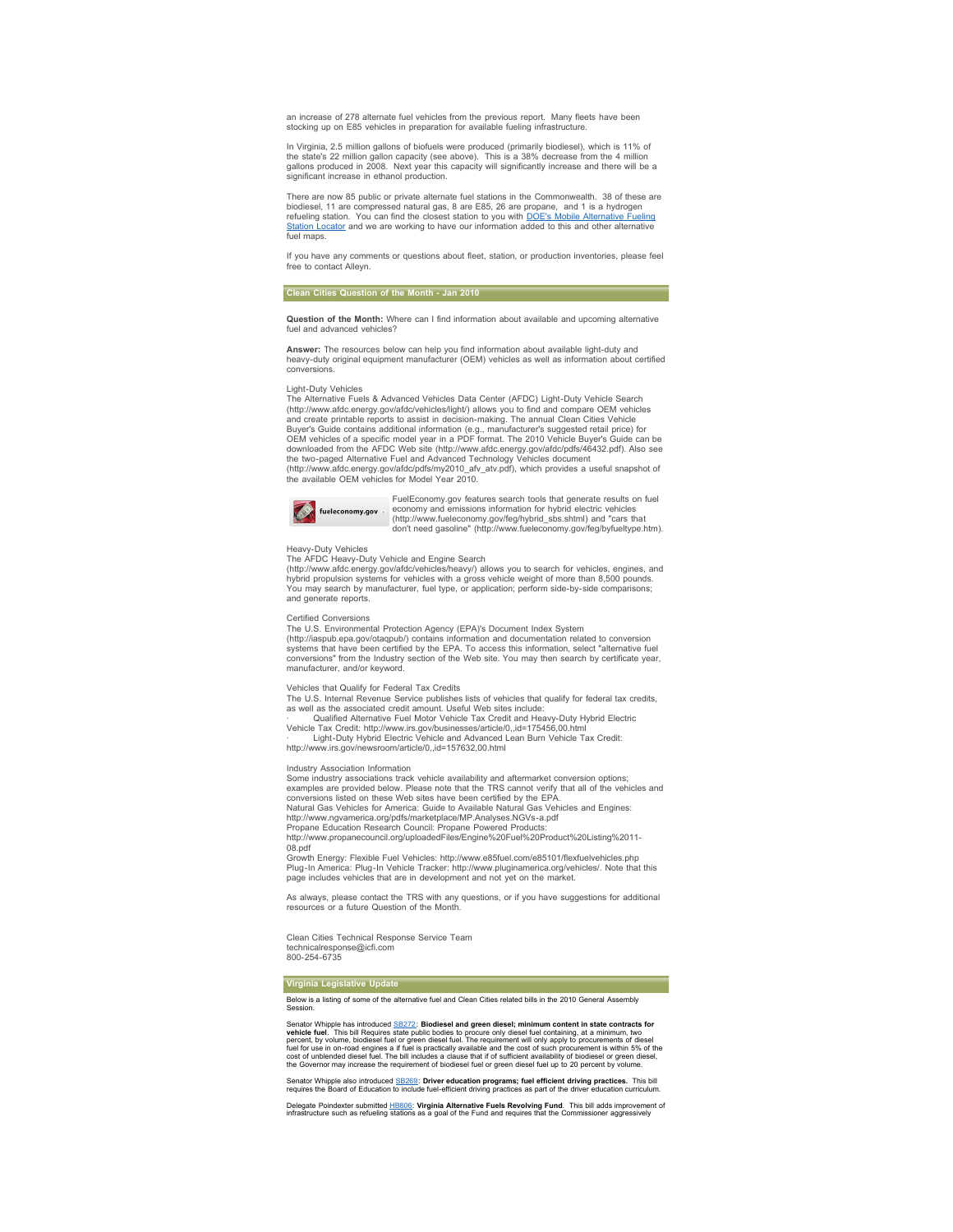an increase of 278 alternate fuel vehicles from the previous report. Many fleets have been stocking up on E85 vehicles in preparation for available fueling infrastructure.

In Virginia, 2.5 million gallons of biofuels were produced (primarily biodiesel), which is 11% of the state's 22 million gallon capacity (see above). This is a 38% decrease from the 4 million gallons produced in 2008. Next year this capacity will significantly increase and there will be a significant increase in ethanol production.

There are now 85 public or private alternate fuel stations in the Commonwealth. 38 of these are biodiesel, 11 are compressed natural gas, 8 are E85, 26 are propane, and 1 is a hydrogen<br>refueling station. You can find the closest station to you with <u>DOF's Mobile Alternative Fueling</u><br><u>Station Locator</u> and we are wor fuel maps

If you have any comments or questions about fleet, station, or production inventories, please feel free to contact Alleyn.

#### **Clean Cities Question of the Month - Jan 2010**

**Question of the Month:** Where can I find information about available and upcoming alternative fuel and advanced vehicles

**Answer:** The resources below can help you find information about available light-duty and heavy-duty original equipment manufacturer (OEM) vehicles as well as information about certified conversions.

#### Light-Duty Vehicles

The Alternative Fuels & Advanced Vehicles Data Center (AFDC) Light-Duty Vehicle Search (http://www.afdc.energy.gov/afdc/vehicles/light/) allows you to find and compare OEM vehicles and create printable reports to assist in decision-making. The annual Clean Cities Vehicle Buyer's Guide contains additional information (e.g., manufacturer's suggested retail price) for OEM vehicles of a specific model year in a PDF format. The 2010 Vehicle Buyer's Guide can be downloaded from the AFDC Web site (http://www.afdc.energy.gov/afdc/pdfs/46432.pdf). Also see<br>the two-paged Alternative Fuel and Advanced Technology Vehicles document<br>(http://www.afdc.energy.gov/afdc/pdfs/my2010\_afv\_atv.pdf



FuelEconomy.gov features search tools that generate results on fuel economy and emissions information for hybrid electric vehicles (http://www.fueleconomy.gov/feg/hybrid\_sbs.shtml) and "cars that don't need gasoline" (http://www.fueleconomy.gov/feg/byfueltype.htm).

#### Heavy-Duty Vehicles

The AFDC Heavy-Duty Vehicle and Engine Search (http://www.afdc.energy.gov/afdc/vehicles/heavy/) allows you to search for vehicles, engines, and<br>hybrid propulsion systems for vehicles with a gross vehicle weight of more than 8,500 pounds.<br>You may search by manufacturer and generate reports.

Certified Conversions

The U.S. Environmental Protection Agency (EPA)'s Document Index System (http://iaspub.epa.gov/otaqpub/) contains information and documentation related to conversion systems that have been certified by the EPA. To access this information, select "alternative fuel conversions" from the Industry section of the Web site. You may then search by certificate year, manufacturer, and/or keyword.

#### Vehicles that Qualify for Federal Tax Credits

The U.S. Internal Revenue Service publishes lists of vehicles that qualify for federal tax credits, as well as the associated credit amount. Useful Web sites include:

· Qualified Alternative Fuel Motor Vehicle Tax Credit and Heavy-Duty Hybrid Electric Vehicle Tax Credit: http://www.irs.gov/businesses/article/0,,id=175456,00.html · Light-Duty Hybrid Electric Vehicle and Advanced Lean Burn Vehicle Tax Credit: http://www.irs.gov/newsroom/article/0,,id=157632,00.html

Industry Association Information

Some industry associations track vehicle availability and aftermarket conversion options; examples are provided below. Please note that the TRS cannot verify that all of the vehicles and conversions listed on these Web sites have been certified by the EPA. Natural Gas Vehicles for America: Guide to Available Natural Gas Vehicles and Engines:<br>http://www.ngvamerica.org/pdfs/marketplace/MP.Analyses.NGVs-a.pdf<br>Propane Education Research Council: Propane Powered Products: http://www.propanecouncil.org/uploadedFiles/Engine%20Fuel%20Product%20Listing%2011-

08.pdf Growth Energy: Flexible Fuel Vehicles: http://www.e85fuel.com/e85101/flexfuelvehicles.php

Plug-In America: Plug-In Vehicle Tracker: http://www.pluginamerica.org/vehicles/. Note that this page includes vehicles that are in development and not yet on the market.

As always, please contact the TRS with any questions, or if you have suggestions for additional resources or a future Question of the Month.

Clean Cities Technical Response Service Team technicalresponse@icfi.com 800-254-6735

**Virginia Legislative Update**

Below is a listing of some of the alternative fuel and Clean Cities related bills in the 2010 General Assembly Session.

Senator Whipple has introduced  $\frac{S12/72}{5}$ . Biodiesel and green diesel; minimum content in state contracts for<br>vehicle fuel. This bill Requires state public bodies to procure only diesel fuel containing, at a minimum, t

Senator Whipple also introduced [SB269:](http://rs6.net/tn.jsp?et=1102958365167&s=3&e=001RnE-OVqBeMHFXCNkAJ14-W5W6tQI7jflCO5DLKxqFCAgVSdOjUtxD7LpmnSDcBzdAj1QVmpu5P6XmwRu3j87CNLfF9nnZ7KSkbJ32AuIszRl3R1ikGBN1g6wVIukhAwUX3gmm_cRCX_O8BhKfOOw5r2xCdX15_bdX1pVvdzbg00=) D**river education programs; fuel efficient driving practices.** This bill<br>requires the Board of Education to include fuel-efficient driving practices as part of the driver education cu

Delegate Poindexter submitted [HB806:](http://rs6.net/tn.jsp?et=1102958365167&s=3&e=001RnE-OVqBeMFPosoOUOaGlp4Cu-mKrLakNINifwU4ftJGFuchCyUOsj24q4db13X6WRhP4gM9jhZdoOocNhN0YjUc6aM2JEP8RH3OxtDv1wQkP9cZGU92JETsptsRWe-UbWo5D0Zovhk69hwebRLoDXAt6cDcFf5ppwFD5M3ANZc=) **Virginia Alternative Fuels Revolving Fund**. This bill adds improvement of<br>infrastructure such as refueling stations as a goal of the Fund and requires that the Commissioner aggressivel